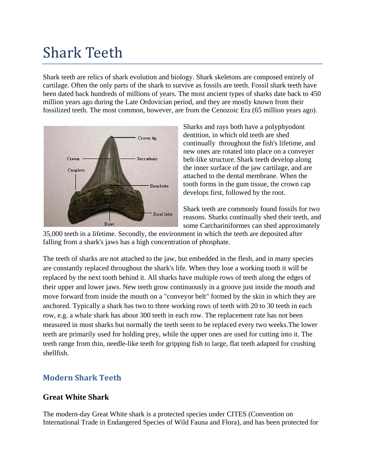# Shark Teeth

Shark teeth are relics of [shark](http://en.wikipedia.org/wiki/Shark) [evolution](http://en.wikipedia.org/wiki/Evolution) and [biology.](http://en.wikipedia.org/wiki/Biology) Shark skeletons are composed entirely of [cartilage.](http://en.wikipedia.org/wiki/Cartilage) Often the only parts of the shark to survive as [fossils](http://en.wikipedia.org/wiki/Fossil) are teeth. Fossil shark teeth have been dated back hundreds of millions of years. The most ancient types of sharks date back to 450 million years ago during the [Late Ordovician](http://en.wikipedia.org/wiki/Late_Ordovician) [period,](http://en.wikipedia.org/wiki/Period_%28geology%29) and they are mostly known from their fossilized teeth. The most common, however, are from the [Cenozoic Era](http://en.wikipedia.org/wiki/Cenozoic_Era) (65 million years ago).



Sharks and rays both have a polyphyodont dentition, in which old teeth are shed continually throughout the fish's lifetime, and new ones are rotated into place on a conveyer belt-like structure. Shark teeth develop along the inner surface of the jaw cartilage, and are attached to the dental membrane. When the tooth forms in the gum tissue, the crown cap develops first, followed by the root.

Shark teeth are commonly found fossils for two reasons. Sharks continually shed their teeth, and some Carchariniformes can shed approximately

35,000 teeth in a lifetime. Secondly, the environment in which the teeth are deposited after falling from a shark's jaws has a high concentration of phosphate.

The teeth of sharks are not attached to the jaw, but embedded in the flesh, and in many species are constantly replaced throughout the shark's life. When they lose a working tooth it will be replaced by the next tooth behind it. All sharks have multiple rows of teeth along the edges of their upper and lower jaws. New teeth grow continuously in a groove just inside the mouth and move forward from inside the mouth on a "conveyor belt" formed by the skin in which they are anchored. Typically a shark has two to three working rows of teeth with 20 to 30 teeth in each row, e.g. a [whale shark](http://en.wikipedia.org/wiki/Whale_shark) has about 300 teeth in each row. The replacement rate has not been measured in most sharks but normally the teeth seem to be replaced every two weeks.The lower teeth are primarily used for holding prey, while the upper ones are used for cutting into it. The teeth range from thin, needle-like teeth for gripping [fish](http://en.wikipedia.org/wiki/Fish) to large, flat teeth adapted for crushing [shellfish.](http://en.wikipedia.org/wiki/Shellfish)

# **Modern Shark Teeth**

### **Great White Shark**

The modern-day [Great White](http://en.wikipedia.org/wiki/Great_White) [shark](http://en.wikipedia.org/wiki/Shark) is a protected species under [CITES](http://en.wikipedia.org/wiki/CITES) (Convention on International Trade in Endangered Species of Wild Fauna and Flora), and has been protected for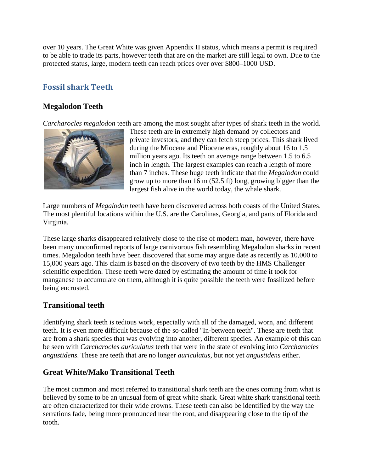over 10 years. The Great White was given Appendix II status, which means a permit is required to be able to trade its parts, however teeth that are on the market are still legal to own. Due to the protected status, large, modern teeth can reach prices over over \$800–1000 USD.

# **Fossil shark Teeth**

## **Megalodon Teeth**

*[Carcharocles megalodon](http://en.wikipedia.org/wiki/Megalodon)* teeth are among the most sought after types of shark teeth in the world.



These teeth are in extremely high demand by collectors and private investors, and they can fetch steep prices. This shark lived during the [Miocene](http://en.wikipedia.org/wiki/Miocene) and [Pliocene](http://en.wikipedia.org/wiki/Pliocene) eras, roughly about 16 to 1.5 million years ago. Its teeth on average range between 1.5 to 6.5 inch in length. The largest examples can reach a length of more than 7 inches. These huge teeth indicate that the *Megalodon* could grow up to more than 16 m (52.5 ft) long, growing bigger than the largest fish alive in the world today, the [whale shark.](http://en.wikipedia.org/wiki/Whale_shark)

Large numbers of *Megalodon* teeth have been discovered across both coasts of the United States. The most plentiful locations within the U.S. are the Carolinas, Georgia, and parts of Florida and Virginia.

These large sharks disappeared relatively close to the rise of modern man, however, there have been many unconfirmed reports of large carnivorous fish resembling Megalodon sharks in recent times. Megalodon teeth have been discovered that some may argue date as recently as 10,000 to 15,000 years ago. This claim is based on the discovery of two teeth by the [HMS Challenger](http://en.wikipedia.org/wiki/Challenger_expedition)  [scientific expedition.](http://en.wikipedia.org/wiki/Challenger_expedition) These teeth were dated by estimating the amount of time it took for manganese to accumulate on them, although it is quite possible the teeth were fossilized before being encrusted.

### **Transitional teeth**

Identifying shark teeth is tedious work, especially with all of the damaged, worn, and different teeth. It is even more difficult because of the so-called "In-between teeth". These are teeth that are from a shark species that was evolving into another, different species. An example of this can be seen with *Carcharocles auriculatus* teeth that were in the state of evolving into *Carcharocles angustidens*. These are teeth that are no longer *auriculatus*, but not yet *angustidens* either.

## **Great White/Mako Transitional Teeth**

The most common and most referred to transitional shark teeth are the ones coming from what is believed by some to be an unusual form of [great white shark.](http://en.wikipedia.org/wiki/Great_white_shark) Great white shark transitional teeth are often characterized for their wide crowns. These teeth can also be identified by the way the serrations fade, being more pronounced near the root, and disappearing close to the tip of the tooth.